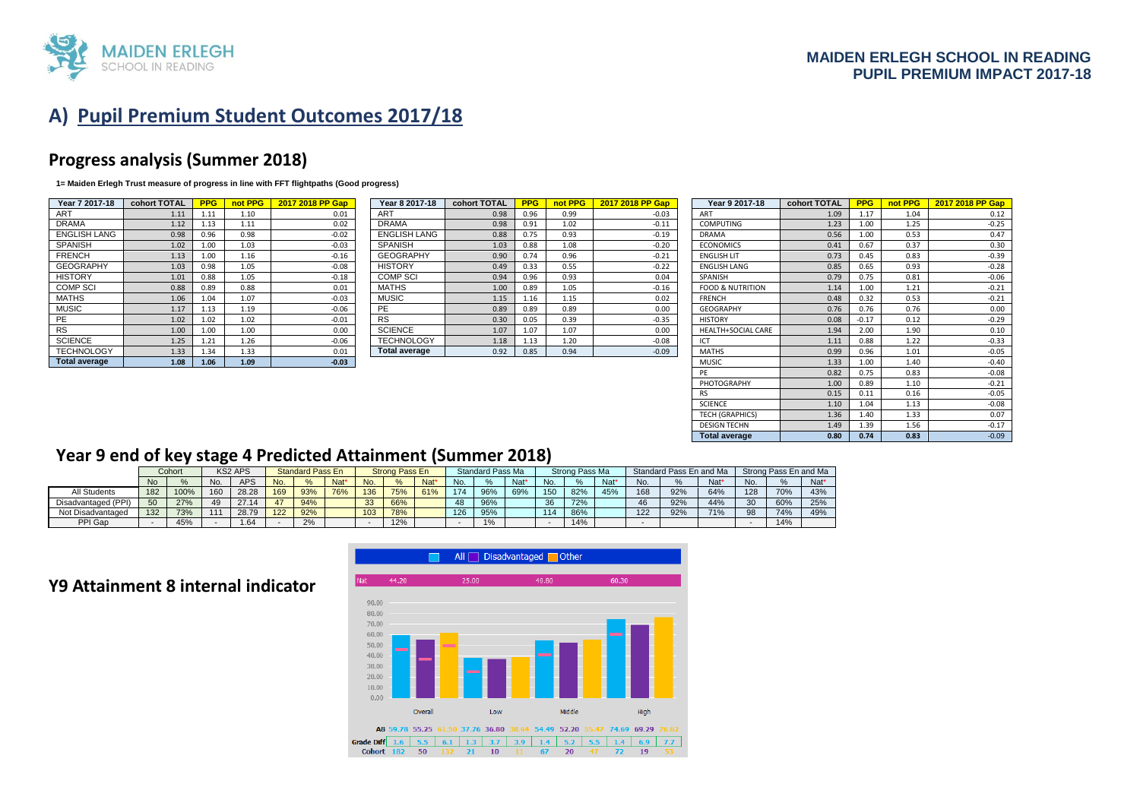

# **A) Pupil Premium Student Outcomes 2017/18**

### **Progress analysis (Summer 2018)**

**1= Maiden Erlegh Trust measure of progress in line with FFT flightpaths (Good progress)** 

| Year 7 2017-18       | cohort TOTAL | <b>PPG</b> | not PPG | 2017 2018 PP Gap |
|----------------------|--------------|------------|---------|------------------|
| <b>ART</b>           | 1.11         | 1.11       | 1.10    | 0.01             |
| <b>DRAMA</b>         | 1.12         | 1.13       | 1.11    | 0.02             |
| <b>ENGLISH LANG</b>  | 0.98         | 0.96       | 0.98    | $-0.02$          |
| <b>SPANISH</b>       | 1.02         | 1.00       | 1.03    | $-0.03$          |
| <b>FRENCH</b>        | 1.13         | 1.00       | 1.16    | $-0.16$          |
| <b>GEOGRAPHY</b>     | 1.03         | 0.98       | 1.05    | $-0.08$          |
| <b>HISTORY</b>       | 1.01         | 0.88       | 1.05    | $-0.18$          |
| <b>COMP SCI</b>      | 0.88         | 0.89       | 0.88    | 0.01             |
| <b>MATHS</b>         | 1.06         | 1.04       | 1.07    | $-0.03$          |
| <b>MUSIC</b>         | 1.17         | 1.13       | 1.19    | $-0.06$          |
| PE                   | 1.02         | 1.02       | 1.02    | $-0.01$          |
| <b>RS</b>            | 1.00         | 1.00       | 1.00    | 0.00             |
| <b>SCIENCE</b>       | 1.25         | 1.21       | 1.26    | $-0.06$          |
| <b>TECHNOLOGY</b>    | 1.33         | 1.34       | 1.33    | 0.01             |
| <b>Total average</b> | 1.08         | 1.06       | 1.09    | $-0.03$          |

| Year 8 2017-18       | cohort TOTAL | <b>PPG</b> | not PPG | 2017 2018 PP Gap |
|----------------------|--------------|------------|---------|------------------|
| <b>ART</b>           | 0.98         | 0.96       | 0.99    | $-0.03$          |
| <b>DRAMA</b>         | 0.98         | 0.91       | 1.02    | $-0.11$          |
| <b>ENGLISH LANG</b>  | 0.88         | 0.75       | 0.93    | $-0.19$          |
| <b>SPANISH</b>       | 1.03         | 0.88       | 1.08    | $-0.20$          |
| <b>GEOGRAPHY</b>     | 0.90         | 0.74       | 0.96    | $-0.21$          |
| <b>HISTORY</b>       | 0.49         | 0.33       | 0.55    | $-0.22$          |
| <b>COMP SCI</b>      | 0.94         | 0.96       | 0.93    | 0.04             |
| <b>MATHS</b>         | 1.00         | 0.89       | 1.05    | $-0.16$          |
| <b>MUSIC</b>         | 1.15         | 1.16       | 1.15    | 0.02             |
| PE                   | 0.89         | 0.89       | 0.89    | 0.00             |
| <b>RS</b>            | 0.30         | 0.05       | 0.39    | $-0.35$          |
| <b>SCIENCE</b>       | 1.07         | 1.07       | 1.07    | 0.00             |
| <b>TECHNOLOGY</b>    | 1.18         | 1.13       | 1.20    | $-0.08$          |
| <b>Total average</b> | 0.92         | 0.85       | 0.94    | $-0.09$          |

| Year 7 2017-18       | cohort TOTAL | <b>PPG</b> | not PPG | 2017 2018 PP Gap | Year 8 2017-18       | cohort TOTAL | <b>PPG</b> | not PPG | 2017 2018 PP Gap | Year 9 2017-18              | cohort TOTAL | <b>PPG</b> | not PPG | 2017 2018 PP Gap |
|----------------------|--------------|------------|---------|------------------|----------------------|--------------|------------|---------|------------------|-----------------------------|--------------|------------|---------|------------------|
| <b>ART</b>           | 1.11         | 1.11       | 1.10    | 0.01             | <b>ART</b>           | 0.98         | 0.96       | 0.99    | $-0.03$          | <b>ART</b>                  | 1.09         | 1.17       | 1.04    | 0.12             |
| <b>DRAMA</b>         | 1.12         | 1.13       | 1.11    | 0.02             | <b>DRAMA</b>         | 0.98         | 0.91       | 1.02    | $-0.11$          | <b>COMPUTING</b>            | 1.23         | 1.00       | 1.25    | $-0.25$          |
| ENGLISH LANG         | 0.98         | 0.96       | 0.98    | $-0.02$          | <b>ENGLISH LANG</b>  | 0.88         | 0.75       | 0.93    | $-0.19$          | <b>DRAMA</b>                | 0.56         | 1.00       | 0.53    | 0.47             |
| SPANISH              | 1.02         | 1.00       | 1.03    | $-0.03$          | <b>SPANISH</b>       | 1.03         | 0.88       | 1.08    | $-0.20$          | <b>ECONOMICS</b>            | 0.41         | 0.67       | 0.37    | 0.30             |
| <b>FRENCH</b>        | 1.13         | 1.00       | 1.16    | $-0.16$          | <b>GEOGRAPHY</b>     | 0.90         | 0.74       | 0.96    | $-0.21$          | <b>ENGLISH LIT</b>          | 0.73         | 0.45       | 0.83    | $-0.39$          |
| <b>GEOGRAPHY</b>     | 1.03         | 0.98       | 1.05    | $-0.08$          | <b>HISTORY</b>       | 0.49         | 0.33       | 0.55    | $-0.22$          | <b>ENGLISH LANG</b>         | 0.85         | 0.65       | 0.93    | $-0.28$          |
| <b>HISTORY</b>       | 1.01         | 0.88       | 1.05    | $-0.18$          | <b>COMP SCI</b>      | 0.94         | 0.96       | 0.93    | 0.04             | SPANISH                     | 0.79         | 0.75       | 0.81    | $-0.06$          |
| COMP SCI             | 0.88         | 0.89       | 0.88    | 0.01             | <b>MATHS</b>         | 1.00         | 0.89       | 1.05    | $-0.16$          | <b>FOOD &amp; NUTRITION</b> | 1.14         | 1.00       | 1.21    | $-0.21$          |
| MATHS                | 1.06         | 1.04       | 1.07    | $-0.03$          | <b>MUSIC</b>         | 1.15         | 1.16       | 1.15    | 0.02             | <b>FRENCH</b>               | 0.48         | 0.32       | 0.53    | $-0.21$          |
| MUSIC                | 1.17         | 1.13       | 1.19    | $-0.06$          | PE                   | 0.89         | 0.89       | 0.89    | 0.00             | <b>GEOGRAPHY</b>            | 0.76         | 0.76       | 0.76    | 0.00             |
| PE                   | 1.02         | 1.02       | 1.02    | $-0.01$          | <b>RS</b>            | 0.30         | 0.05       | 0.39    | $-0.35$          | <b>HISTORY</b>              | 0.08         | $-0.17$    | 0.12    | $-0.29$          |
| <b>RS</b>            | 1.00         | 1.00       | 1.00    | 0.00             | <b>SCIENCE</b>       | 1.07         | 1.07       | 1.07    | 0.00             | HEALTH+SOCIAL CARE          | 1.94         | 2.00       | 1.90    | 0.10             |
| <b>SCIENCE</b>       | 1.25         | 1.21       | 1.26    | $-0.06$          | <b>TECHNOLOGY</b>    | 1.18         | 1.13       | 1.20    | $-0.08$          | ICT                         | 1.11         | 0.88       | 1.22    | $-0.33$          |
| <b>TECHNOLOGY</b>    | 1.33         | 1.34       | 1.33    | 0.01             | <b>Total average</b> | 0.92         | 0.85       | 0.94    | $-0.09$          | <b>MATHS</b>                | 0.99         | 0.96       | 1.01    | $-0.05$          |
| <b>Total average</b> | 1.08         | 1.06       | 1.09    | $-0.03$          |                      |              |            |         |                  | <b>MUSIC</b>                | 1.33         | 1.00       | 1.40    | $-0.40$          |
|                      |              |            |         |                  |                      |              |            |         |                  |                             | 0.82         | 0.75       | 0.83    | $-0.08$          |
|                      |              |            |         |                  |                      |              |            |         |                  | PHOTOGRAPHY                 | 1.00         | 0.89       | 1.10    | $-0.21$          |
|                      |              |            |         |                  |                      |              |            |         |                  | <b>RS</b>                   | 0.15         | 0.11       | 0.16    | $-0.05$          |
|                      |              |            |         |                  |                      |              |            |         |                  | <b>SCIENCE</b>              | 1.10         | 1.04       | 1.13    | $-0.08$          |
|                      |              |            |         |                  |                      |              |            |         |                  | <b>TECH (GRAPHICS)</b>      | 1.36         | 1.40       | 1.33    | 0.07             |
|                      |              |            |         |                  |                      |              |            |         |                  | <b>DESIGN TECHN</b>         | 1.49         | 1.39       | 1.56    | $-0.17$          |
|                      |              |            |         |                  |                      |              |            |         |                  | <b>Total average</b>        | 0.80         | 0.74       | 0.83    | $-0.09$          |

#### **Year 9 end of key stage 4 Predicted Attainment (Summer 2018)**

|                     |           | Cohort |     | <b>KS2 APS</b> |     | <b>Standard Pass En</b> |      |     | <b>Strong Pass En</b> |                  |     | Standard Pass Ma |                  |     | Strong Pass Ma |      |     | Standard Pass En and Ma |        |     | Strong Pass En and Ma |      |
|---------------------|-----------|--------|-----|----------------|-----|-------------------------|------|-----|-----------------------|------------------|-----|------------------|------------------|-----|----------------|------|-----|-------------------------|--------|-----|-----------------------|------|
|                     | <b>No</b> |        | No. | APS            | No. | $O_{\mathbb{A}}$        | Nat* | No. | $O_{\ell}$            | Nat <sup>*</sup> | No. | $\frac{9}{6}$    | Nat <sup>*</sup> | No. |                | Nat* | No. |                         | $Nat*$ | No. |                       | Nat* |
| All Students        | 182       | 100%   | 160 | 28.28          | 169 | 93%                     | 76%  | 136 | 75%                   | 61%              | 174 | 96%              | 69%              | 150 | 82%            | 45%  | 168 | 92%                     | 64%    | 128 | 70%                   | 43%  |
| Disadvantaged (PPI) | 50        | 27%    | 49  |                | 17  | 94%                     |      | 33  | 66%                   |                  | 48  | 96%              |                  | 36. | 72%            |      |     | 92%                     | 44%    | 30  | 60%                   | 25%  |
| Not Disadvantaged   | 132       | 73%    | 111 | 28.79          | 122 | 92%                     |      | 103 | 78%                   |                  | 126 | 95%              |                  |     | 86%            |      | 122 | 92%                     | 71%    | 98  | 74%                   | 49%  |
| PPI Gap             |           | 45%    |     | .64            |     | 2%                      |      |     | 12%                   |                  |     | 1%               |                  |     | 14%            |      |     |                         |        |     | 14%                   |      |

#### **Y9 Attainment 8 internal indicator**

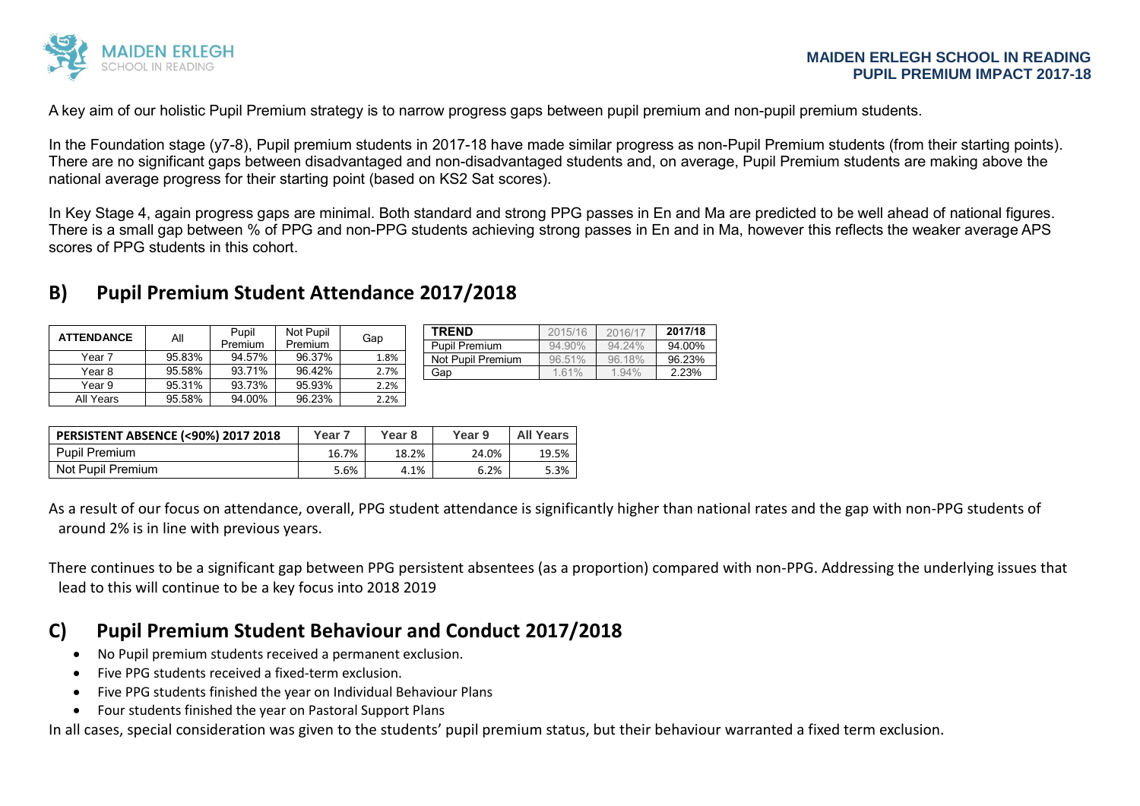

A key aim of our holistic Pupil Premium strategy is to narrow progress gaps between pupil premium and non-pupil premium students.

In the Foundation stage (y7-8), Pupil premium students in 2017-18 have made similar progress as non-Pupil Premium students (from their starting points). There are no significant gaps between disadvantaged and non-disadvantaged students and, on average. Pupil Premium students are making above the national average progress for their starting point (based on KS2 Sat scores).

In Key Stage 4, again progress gaps are minimal. Both standard and strong PPG passes in En and Ma are predicted to be well ahead of national figures. There is a small gap between % of PPG and non-PPG students achieving strong passes in En and in Ma, however this reflects the weaker average APS scores of PPG students in this cohort.

## **B) Pupil Premium Student Attendance 2017/2018**

| <b>ATTENDANCE</b> | Pupil<br>Αll<br>Premium |        | Not Pupil<br>Premium | Gap  |
|-------------------|-------------------------|--------|----------------------|------|
| Year 7            | 95.83%                  | 94.57% | 96.37%               | 1.8% |
| Year 8            | 95.58%                  | 93.71% | 96.42%               | 2.7% |
| Year 9            | 95.31%                  | 93.73% | 95.93%               | 2.2% |
| All Years         | 95.58%                  | 94.00% | 96.23%               | 2.2% |

| <b>TRFND</b>         | 2015/16   | 2016/17   | 2017/18 |
|----------------------|-----------|-----------|---------|
| <b>Pupil Premium</b> | 94.90%    | $94.24\%$ | 94.00%  |
| Not Pupil Premium    | $96.51\%$ | 9618%     | 96.23%  |
| Gap                  | 1.61%     | 1.94%     | 2.23%   |

| <b>PERSISTENT ABSENCE (&lt;90%) 2017 2018</b> | Year 7 | Year <sub>8</sub> | Year 9 | <b>All Years</b> |
|-----------------------------------------------|--------|-------------------|--------|------------------|
| <b>Pupil Premium</b>                          | 16.7%  | 18.2%             | 24.0%  | 19.5%            |
| Not Pupil Premium                             | 5.6%   | 4.1%              | 6.2%   | 5.3%             |

As a result of our focus on attendance, overall, PPG student attendance is significantly higher than national rates and the gap with non-PPG students of around 2% is in line with previous years.

There continues to be a significant gap between PPG persistent absentees (as a proportion) compared with non-PPG. Addressing the underlying issues that lead to this will continue to be a key focus into 2018 2019

## **C) Pupil Premium Student Behaviour and Conduct 2017/2018**

- No Pupil premium students received a permanent exclusion.
- Five PPG students received a fixed-term exclusion.
- Five PPG students finished the year on Individual Behaviour Plans
- Four students finished the year on Pastoral Support Plans

In all cases, special consideration was given to the students' pupil premium status, but their behaviour warranted a fixed term exclusion.